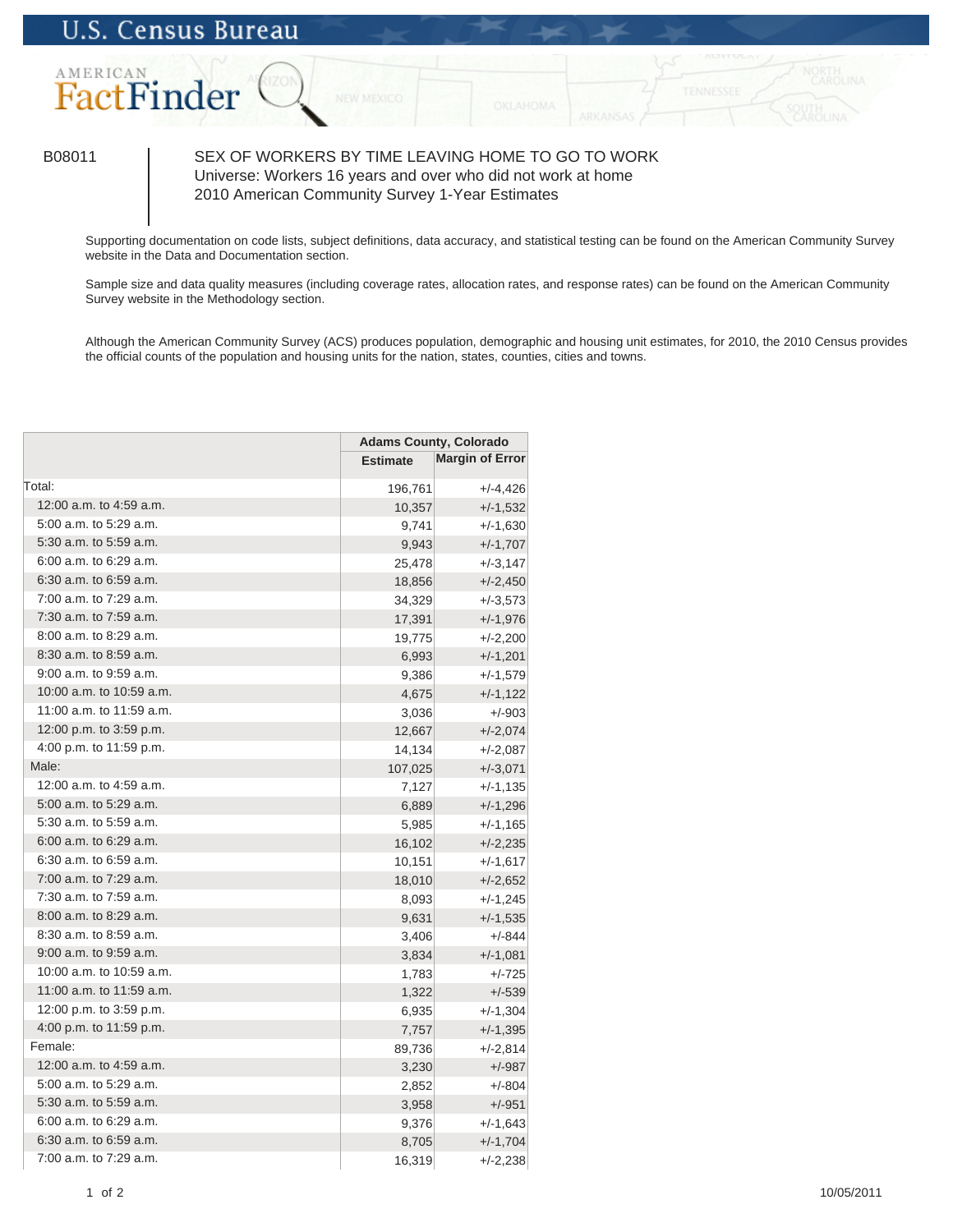

## B08011 SEX OF WORKERS BY TIME LEAVING HOME TO GO TO WORK Universe: Workers 16 years and over who did not work at home 2010 American Community Survey 1-Year Estimates

Supporting documentation on code lists, subject definitions, data accuracy, and statistical testing can be found on the American Community Survey website in the Data and Documentation section.

Sample size and data quality measures (including coverage rates, allocation rates, and response rates) can be found on the American Community Survey website in the Methodology section.

Although the American Community Survey (ACS) produces population, demographic and housing unit estimates, for 2010, the 2010 Census provides the official counts of the population and housing units for the nation, states, counties, cities and towns.

|                            | <b>Adams County, Colorado</b> |                        |
|----------------------------|-------------------------------|------------------------|
|                            | <b>Estimate</b>               | <b>Margin of Error</b> |
| Total:                     | 196,761                       | $+/-4,426$             |
| 12:00 a.m. to 4:59 a.m.    | 10,357                        | $+/-1,532$             |
| 5:00 a.m. to 5:29 a.m.     | 9,741                         | $+/-1,630$             |
| 5:30 a.m. to 5:59 a.m.     | 9,943                         | $+/-1,707$             |
| 6:00 a.m. to 6:29 a.m.     | 25,478                        | $+/-3,147$             |
| $6:30$ a.m. to $6:59$ a.m. | 18,856                        | $+/-2,450$             |
| 7:00 a.m. to 7:29 a.m.     | 34,329                        | $+/-3,573$             |
| 7:30 a.m. to 7:59 a.m.     | 17,391                        | $+/-1,976$             |
| 8:00 a.m. to 8:29 a.m.     | 19,775                        | $+/-2,200$             |
| 8:30 a.m. to 8:59 a.m.     | 6,993                         | $+/-1,201$             |
| 9:00 a.m. to 9:59 a.m.     | 9,386                         | $+/-1,579$             |
| 10:00 a.m. to 10:59 a.m.   | 4,675                         | $+/-1,122$             |
| 11:00 a.m. to 11:59 a.m.   | 3,036                         | $+/-903$               |
| 12:00 p.m. to 3:59 p.m.    | 12,667                        | $+/-2,074$             |
| 4:00 p.m. to 11:59 p.m.    | 14,134                        | $+/-2,087$             |
| Male:                      | 107,025                       | $+/-3,071$             |
| 12:00 a.m. to 4:59 a.m.    | 7,127                         | $+/-1,135$             |
| 5:00 a.m. to 5:29 a.m.     | 6,889                         | $+/-1,296$             |
| 5:30 a.m. to 5:59 a.m.     | 5,985                         | $+/-1,165$             |
| 6:00 a.m. to 6:29 a.m.     | 16,102                        | $+/-2,235$             |
| $6:30$ a.m. to $6:59$ a.m. | 10,151                        | $+/-1,617$             |
| 7:00 a.m. to 7:29 a.m.     | 18,010                        | $+/-2,652$             |
| $7:30$ a.m. to $7:59$ a.m. | 8,093                         | $+/-1,245$             |
| 8:00 a.m. to 8:29 a.m.     | 9,631                         | $+/-1,535$             |
| 8:30 a.m. to 8:59 a.m.     | 3,406                         | $+/-844$               |
| 9:00 a.m. to 9:59 a.m.     | 3,834                         | $+/-1,081$             |
| 10:00 a.m. to 10:59 a.m.   | 1,783                         | $+/-725$               |
| 11:00 a.m. to 11:59 a.m.   | 1,322                         | $+/-539$               |
| 12:00 p.m. to 3:59 p.m.    | 6,935                         | $+/-1,304$             |
| 4:00 p.m. to 11:59 p.m.    | 7,757                         | $+/-1,395$             |
| Female:                    | 89,736                        | $+/-2,814$             |
| 12:00 a.m. to 4:59 a.m.    | 3,230                         | $+/-987$               |
| 5:00 a.m. to 5:29 a.m.     | 2,852                         | $+/-804$               |
| 5:30 a.m. to 5:59 a.m.     | 3,958                         | $+/-951$               |
| 6:00 a.m. to 6:29 a.m.     | 9,376                         | $+/-1,643$             |
| 6:30 a.m. to 6:59 a.m.     | 8,705                         | $+/-1,704$             |
| 7:00 a.m. to 7:29 a.m.     | 16,319                        | $+/-2,238$             |